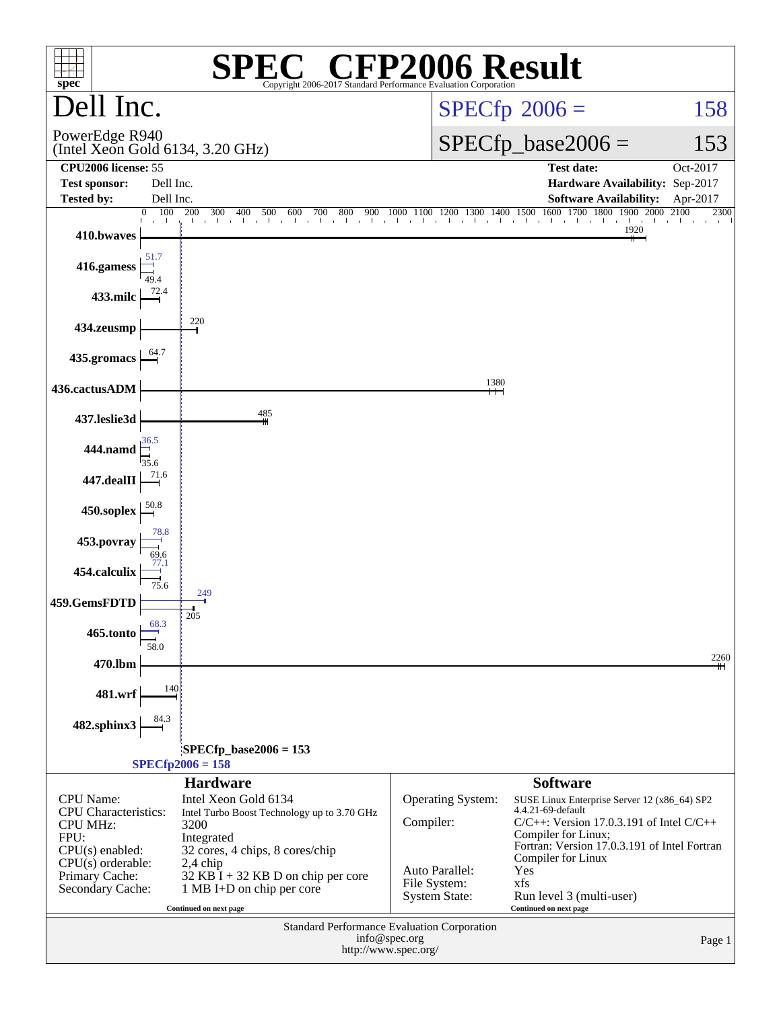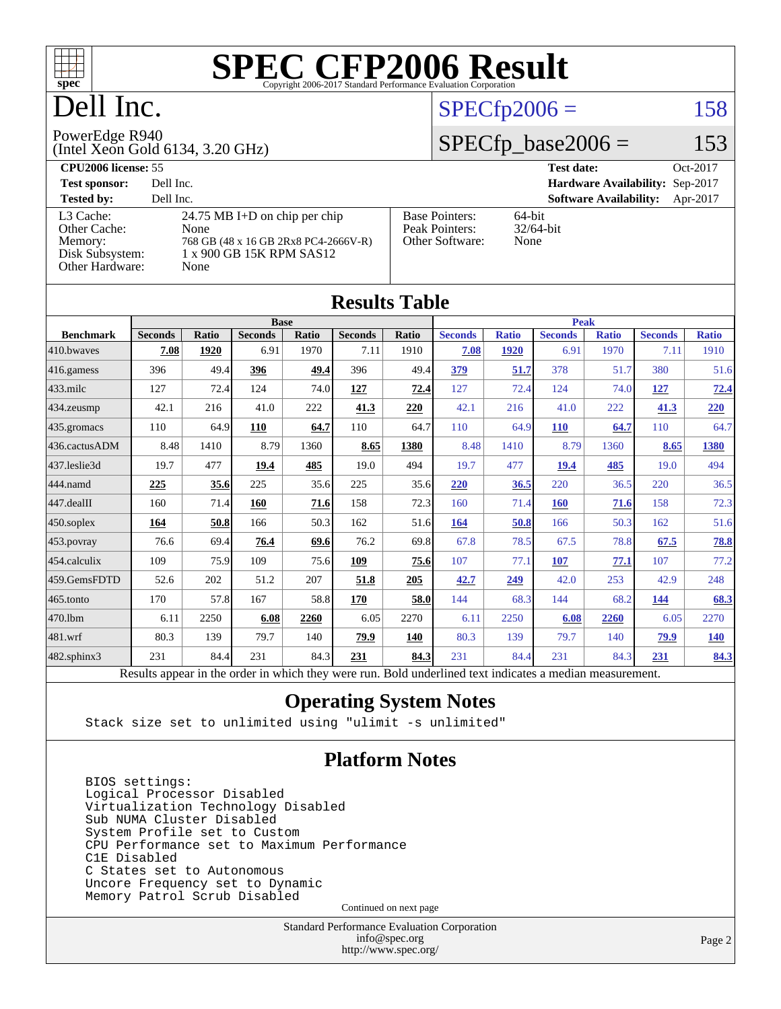

# Dell Inc.

# $SPECfp2006 = 158$  $SPECfp2006 = 158$

#### PowerEdge R940

(Intel Xeon Gold 6134, 3.20 GHz)

# $SPECTp\_base2006 = 153$

| <b>CPU2006 license: 55</b>                              |                                                                                                           |                                                            | Oct-2017<br><b>Test date:</b>             |
|---------------------------------------------------------|-----------------------------------------------------------------------------------------------------------|------------------------------------------------------------|-------------------------------------------|
| <b>Test sponsor:</b>                                    | Dell Inc.                                                                                                 |                                                            | Hardware Availability: Sep-2017           |
| <b>Tested by:</b>                                       | Dell Inc.                                                                                                 |                                                            | <b>Software Availability:</b><br>Apr-2017 |
| L3 Cache:<br>Other Cache:<br>Memory:<br>Disk Subsystem: | 24.75 MB I+D on chip per chip<br>None<br>768 GB (48 x 16 GB 2Rx8 PC4-2666V-R)<br>1 x 900 GB 15K RPM SAS12 | <b>Base Pointers:</b><br>Peak Pointers:<br>Other Software: | $64$ -bit<br>$32/64$ -bit<br>None         |
| Other Hardware:                                         | None                                                                                                      |                                                            |                                           |

| <b>Results Table</b>   |                                                                                                          |       |                |             |                |       |                |              |                |              |                |              |
|------------------------|----------------------------------------------------------------------------------------------------------|-------|----------------|-------------|----------------|-------|----------------|--------------|----------------|--------------|----------------|--------------|
|                        |                                                                                                          |       |                | <b>Base</b> |                |       | <b>Peak</b>    |              |                |              |                |              |
| <b>Benchmark</b>       | <b>Seconds</b>                                                                                           | Ratio | <b>Seconds</b> | Ratio       | <b>Seconds</b> | Ratio | <b>Seconds</b> | <b>Ratio</b> | <b>Seconds</b> | <b>Ratio</b> | <b>Seconds</b> | <b>Ratio</b> |
| 410.bwayes             | 7.08                                                                                                     | 1920  | 6.91           | 1970        | 7.11           | 1910  | 7.08           | 1920         | 6.91           | 1970         | 7.11           | 1910         |
| 416.gamess             | 396                                                                                                      | 49.4  | 396            | 49.4        | 396            | 49.4  | 379            | 51.7         | 378            | 51.7         | 380            | 51.6         |
| $433$ .milc            | 127                                                                                                      | 72.4  | 124            | 74.0        | 127            | 72.4  | 127            | 72.4         | 124            | 74.0         | 127            | 72.4         |
| $434$ . zeusmp         | 42.1                                                                                                     | 216   | 41.0           | 222         | 41.3           | 220   | 42.1           | 216          | 41.0           | 222          | 41.3           | 220          |
| $435.$ gromacs         | 110                                                                                                      | 64.9  | 110            | 64.7        | 110            | 64.7  | 110            | 64.9         | <b>110</b>     | 64.7         | 110            | 64.7         |
| 436.cactusADM          | 8.48                                                                                                     | 1410  | 8.79           | 1360        | 8.65           | 1380  | 8.48           | 1410         | 8.79           | 1360         | 8.65           | 1380         |
| 437.leslie3d           | 19.7                                                                                                     | 477   | 19.4           | 485         | 19.0           | 494   | 19.7           | 477          | 19.4           | 485          | 19.0           | 494          |
| 444.namd               | 225                                                                                                      | 35.6  | 225            | 35.6        | 225            | 35.6  | 220            | 36.5         | 220            | 36.5         | 220            | 36.5         |
| $ 447 \text{.}$ dealII | 160                                                                                                      | 71.4  | 160            | 71.6        | 158            | 72.3  | 160            | 71.4         | <b>160</b>     | 71.6         | 158            | 72.3         |
| $450$ .soplex          | 164                                                                                                      | 50.8  | 166            | 50.3        | 162            | 51.6  | 164            | 50.8         | 166            | 50.3         | 162            | 51.6         |
| $453$ .povray          | 76.6                                                                                                     | 69.4  | 76.4           | 69.6        | 76.2           | 69.8  | 67.8           | 78.5         | 67.5           | 78.8         | 67.5           | 78.8         |
| $ 454$ .calculix       | 109                                                                                                      | 75.9  | 109            | 75.6        | 109            | 75.6  | 107            | 77.1         | 107            | 77.1         | 107            | 77.2         |
| 459.GemsFDTD           | 52.6                                                                                                     | 202   | 51.2           | 207         | 51.8           | 205   | 42.7           | 249          | 42.0           | 253          | 42.9           | 248          |
| 465.tonto              | 170                                                                                                      | 57.8  | 167            | 58.8        | 170            | 58.0  | 144            | 68.3         | 144            | 68.2         | 144            | 68.3         |
| 470.1bm                | 6.11                                                                                                     | 2250  | 6.08           | 2260        | 6.05           | 2270  | 6.11           | 2250         | 6.08           | 2260         | 6.05           | 2270         |
| 481.wrf                | 80.3                                                                                                     | 139   | 79.7           | 140         | 79.9           | 140   | 80.3           | 139          | 79.7           | 140          | 79.9           | <b>140</b>   |
| $482$ .sphinx $3$      | 231                                                                                                      | 84.4  | 231            | 84.3        | 231            | 84.3  | 231            | 84.4         | 231            | 84.3         | 231            | 84.3         |
|                        | Results appear in the order in which they were run. Bold underlined text indicates a median measurement. |       |                |             |                |       |                |              |                |              |                |              |

### **[Operating System Notes](http://www.spec.org/auto/cpu2006/Docs/result-fields.html#OperatingSystemNotes)**

Stack size set to unlimited using "ulimit -s unlimited"

### **[Platform Notes](http://www.spec.org/auto/cpu2006/Docs/result-fields.html#PlatformNotes)**

 BIOS settings: Logical Processor Disabled Virtualization Technology Disabled Sub NUMA Cluster Disabled System Profile set to Custom CPU Performance set to Maximum Performance C1E Disabled C States set to Autonomous Uncore Frequency set to Dynamic Memory Patrol Scrub Disabled

Continued on next page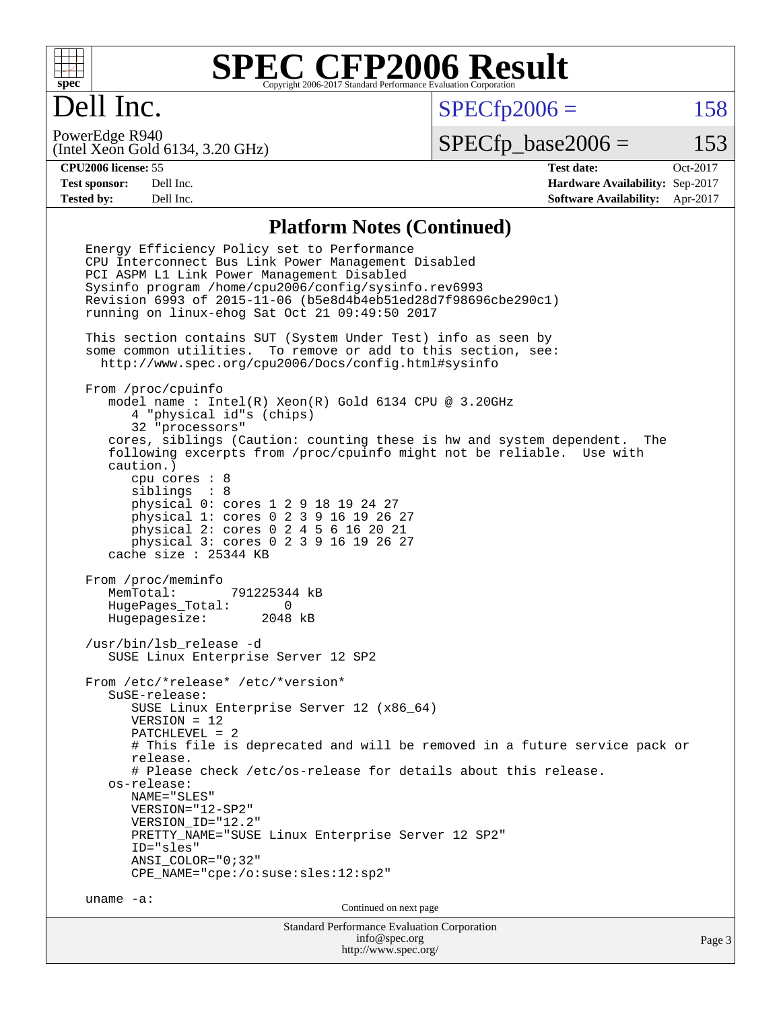

# Dell Inc.

 $SPECTp2006 = 158$ 

(Intel Xeon Gold 6134, 3.20 GHz) PowerEdge R940

 $SPECTp\_base2006 = 153$ 

**[CPU2006 license:](http://www.spec.org/auto/cpu2006/Docs/result-fields.html#CPU2006license)** 55 **[Test date:](http://www.spec.org/auto/cpu2006/Docs/result-fields.html#Testdate)** Oct-2017 **[Test sponsor:](http://www.spec.org/auto/cpu2006/Docs/result-fields.html#Testsponsor)** Dell Inc. **[Hardware Availability:](http://www.spec.org/auto/cpu2006/Docs/result-fields.html#HardwareAvailability)** Sep-2017 **[Tested by:](http://www.spec.org/auto/cpu2006/Docs/result-fields.html#Testedby)** Dell Inc. **[Software Availability:](http://www.spec.org/auto/cpu2006/Docs/result-fields.html#SoftwareAvailability)** Apr-2017

### **[Platform Notes \(Continued\)](http://www.spec.org/auto/cpu2006/Docs/result-fields.html#PlatformNotes)**

Standard Performance Evaluation Corporation [info@spec.org](mailto:info@spec.org) Energy Efficiency Policy set to Performance CPU Interconnect Bus Link Power Management Disabled PCI ASPM L1 Link Power Management Disabled Sysinfo program /home/cpu2006/config/sysinfo.rev6993 Revision 6993 of 2015-11-06 (b5e8d4b4eb51ed28d7f98696cbe290c1) running on linux-ehog Sat Oct 21 09:49:50 2017 This section contains SUT (System Under Test) info as seen by some common utilities. To remove or add to this section, see: <http://www.spec.org/cpu2006/Docs/config.html#sysinfo> From /proc/cpuinfo model name : Intel(R) Xeon(R) Gold 6134 CPU @ 3.20GHz 4 "physical id"s (chips) 32 "processors" cores, siblings (Caution: counting these is hw and system dependent. The following excerpts from /proc/cpuinfo might not be reliable. Use with caution.) cpu cores : 8 siblings : 8 physical 0: cores 1 2 9 18 19 24 27 physical 1: cores 0 2 3 9 16 19 26 27 physical 2: cores 0 2 4 5 6 16 20 21 physical 3: cores 0 2 3 9 16 19 26 27 cache size : 25344 KB From /proc/meminfo MemTotal: 791225344 kB HugePages\_Total: 0 Hugepagesize: 2048 kB /usr/bin/lsb\_release -d SUSE Linux Enterprise Server 12 SP2 From /etc/\*release\* /etc/\*version\* SuSE-release: SUSE Linux Enterprise Server 12 (x86\_64) VERSION = 12 PATCHLEVEL = 2 # This file is deprecated and will be removed in a future service pack or release. # Please check /etc/os-release for details about this release. os-release: NAME="SLES" VERSION="12-SP2" VERSION\_ID="12.2" PRETTY\_NAME="SUSE Linux Enterprise Server 12 SP2" ID="sles" ANSI\_COLOR="0;32" CPE\_NAME="cpe:/o:suse:sles:12:sp2" uname -a: Continued on next page

<http://www.spec.org/>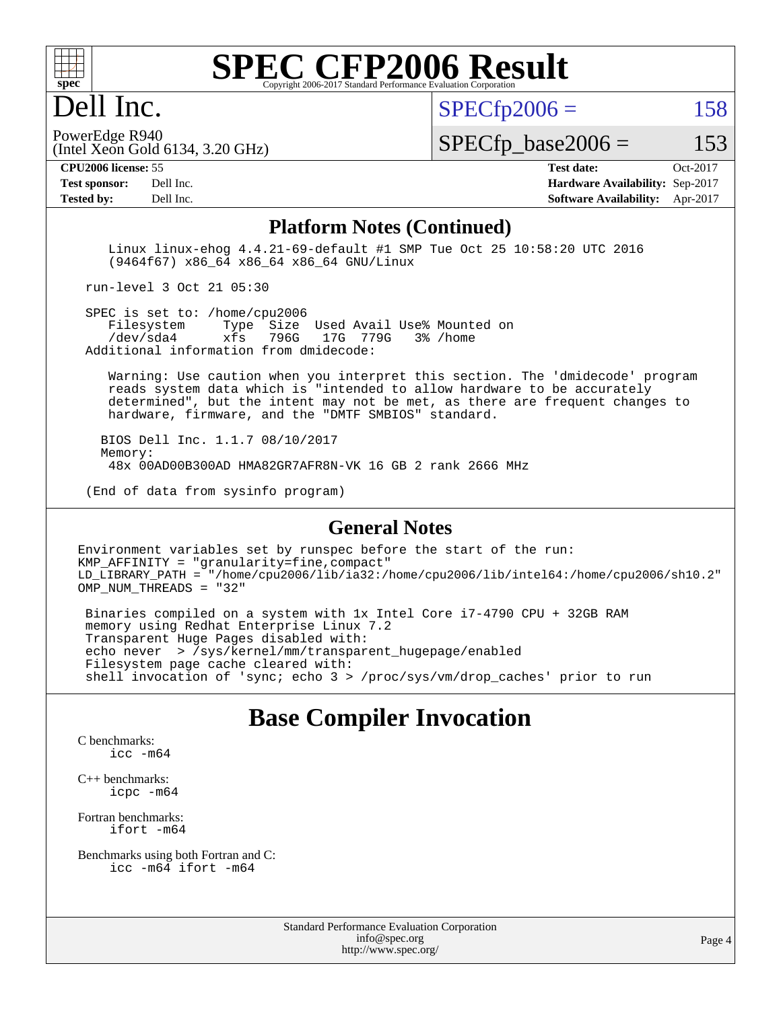

# Dell Inc.

 $SPECTp2006 = 158$ 

(Intel Xeon Gold 6134, 3.20 GHz) PowerEdge R940

 $SPECTp\_base2006 = 153$ 

**[CPU2006 license:](http://www.spec.org/auto/cpu2006/Docs/result-fields.html#CPU2006license)** 55 **[Test date:](http://www.spec.org/auto/cpu2006/Docs/result-fields.html#Testdate)** Oct-2017

**[Tested by:](http://www.spec.org/auto/cpu2006/Docs/result-fields.html#Testedby)** Dell Inc. **[Software Availability:](http://www.spec.org/auto/cpu2006/Docs/result-fields.html#SoftwareAvailability)** Apr-2017

**[Test sponsor:](http://www.spec.org/auto/cpu2006/Docs/result-fields.html#Testsponsor)** Dell Inc. **[Hardware Availability:](http://www.spec.org/auto/cpu2006/Docs/result-fields.html#HardwareAvailability)** Sep-2017

#### **[Platform Notes \(Continued\)](http://www.spec.org/auto/cpu2006/Docs/result-fields.html#PlatformNotes)**

 Linux linux-ehog 4.4.21-69-default #1 SMP Tue Oct 25 10:58:20 UTC 2016 (9464f67) x86\_64 x86\_64 x86\_64 GNU/Linux

run-level 3 Oct 21 05:30

SPEC is set to: /home/cpu2006<br>Filesystem Type Size Type Size Used Avail Use% Mounted on /dev/sda4 xfs 796G 17G 779G 3% /home Additional information from dmidecode:

 Warning: Use caution when you interpret this section. The 'dmidecode' program reads system data which is "intended to allow hardware to be accurately determined", but the intent may not be met, as there are frequent changes to hardware, firmware, and the "DMTF SMBIOS" standard.

 BIOS Dell Inc. 1.1.7 08/10/2017 Memory: 48x 00AD00B300AD HMA82GR7AFR8N-VK 16 GB 2 rank 2666 MHz

(End of data from sysinfo program)

#### **[General Notes](http://www.spec.org/auto/cpu2006/Docs/result-fields.html#GeneralNotes)**

Environment variables set by runspec before the start of the run: KMP\_AFFINITY = "granularity=fine,compact" LD\_LIBRARY\_PATH = "/home/cpu2006/lib/ia32:/home/cpu2006/lib/intel64:/home/cpu2006/sh10.2" OMP\_NUM\_THREADS = "32"

 Binaries compiled on a system with 1x Intel Core i7-4790 CPU + 32GB RAM memory using Redhat Enterprise Linux 7.2 Transparent Huge Pages disabled with: echo never > /sys/kernel/mm/transparent\_hugepage/enabled Filesystem page cache cleared with: shell invocation of 'sync; echo 3 > /proc/sys/vm/drop\_caches' prior to run

### **[Base Compiler Invocation](http://www.spec.org/auto/cpu2006/Docs/result-fields.html#BaseCompilerInvocation)**

[C benchmarks](http://www.spec.org/auto/cpu2006/Docs/result-fields.html#Cbenchmarks): [icc -m64](http://www.spec.org/cpu2006/results/res2017q4/cpu2006-20171114-50568.flags.html#user_CCbase_intel_icc_64bit_bda6cc9af1fdbb0edc3795bac97ada53)

[C++ benchmarks:](http://www.spec.org/auto/cpu2006/Docs/result-fields.html#CXXbenchmarks) [icpc -m64](http://www.spec.org/cpu2006/results/res2017q4/cpu2006-20171114-50568.flags.html#user_CXXbase_intel_icpc_64bit_fc66a5337ce925472a5c54ad6a0de310)

[Fortran benchmarks](http://www.spec.org/auto/cpu2006/Docs/result-fields.html#Fortranbenchmarks): [ifort -m64](http://www.spec.org/cpu2006/results/res2017q4/cpu2006-20171114-50568.flags.html#user_FCbase_intel_ifort_64bit_ee9d0fb25645d0210d97eb0527dcc06e)

[Benchmarks using both Fortran and C](http://www.spec.org/auto/cpu2006/Docs/result-fields.html#BenchmarksusingbothFortranandC): [icc -m64](http://www.spec.org/cpu2006/results/res2017q4/cpu2006-20171114-50568.flags.html#user_CC_FCbase_intel_icc_64bit_bda6cc9af1fdbb0edc3795bac97ada53) [ifort -m64](http://www.spec.org/cpu2006/results/res2017q4/cpu2006-20171114-50568.flags.html#user_CC_FCbase_intel_ifort_64bit_ee9d0fb25645d0210d97eb0527dcc06e)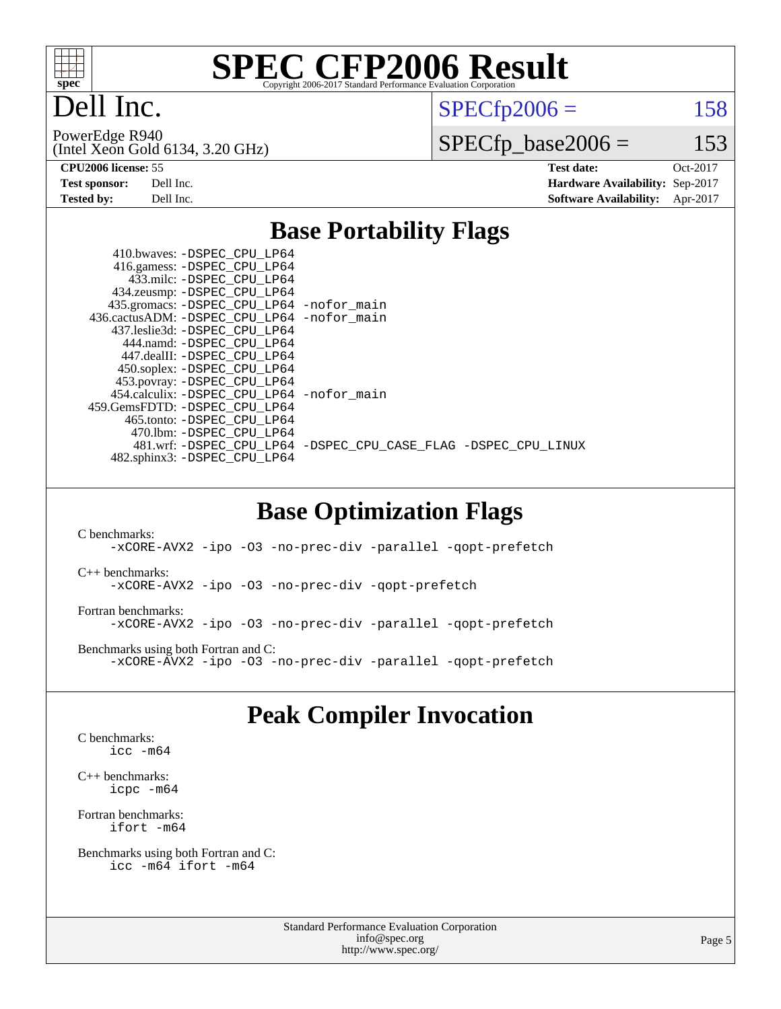

Dell Inc.

 $SPECTp2006 = 158$ 

(Intel Xeon Gold 6134, 3.20 GHz) PowerEdge R940

 $SPECfp\_base2006 = 153$ 

**[CPU2006 license:](http://www.spec.org/auto/cpu2006/Docs/result-fields.html#CPU2006license)** 55 **[Test date:](http://www.spec.org/auto/cpu2006/Docs/result-fields.html#Testdate)** Oct-2017 **[Test sponsor:](http://www.spec.org/auto/cpu2006/Docs/result-fields.html#Testsponsor)** Dell Inc. **[Hardware Availability:](http://www.spec.org/auto/cpu2006/Docs/result-fields.html#HardwareAvailability)** Sep-2017 **[Tested by:](http://www.spec.org/auto/cpu2006/Docs/result-fields.html#Testedby)** Dell Inc. **[Software Availability:](http://www.spec.org/auto/cpu2006/Docs/result-fields.html#SoftwareAvailability)** Apr-2017

### **[Base Portability Flags](http://www.spec.org/auto/cpu2006/Docs/result-fields.html#BasePortabilityFlags)**

| 410.bwaves: -DSPEC CPU LP64<br>416.gamess: -DSPEC_CPU_LP64<br>433.milc: -DSPEC CPU LP64 |                                                                |
|-----------------------------------------------------------------------------------------|----------------------------------------------------------------|
| 434.zeusmp: - DSPEC_CPU_LP64                                                            |                                                                |
| 435.gromacs: -DSPEC_CPU_LP64 -nofor_main<br>436.cactusADM: -DSPEC CPU LP64 -nofor main  |                                                                |
| 437.leslie3d: - DSPEC CPU LP64                                                          |                                                                |
| 444.namd: -DSPEC CPU LP64                                                               |                                                                |
| 447.dealII: -DSPEC CPU LP64                                                             |                                                                |
| 450.soplex: -DSPEC_CPU_LP64<br>453.povray: -DSPEC_CPU_LP64                              |                                                                |
| 454.calculix: - DSPEC CPU LP64 - nofor main                                             |                                                                |
| 459. GemsFDTD: - DSPEC CPU LP64<br>465.tonto: - DSPEC CPU LP64                          |                                                                |
| 470.1bm: - DSPEC CPU LP64                                                               |                                                                |
|                                                                                         | 481.wrf: -DSPEC_CPU_LP64 -DSPEC_CPU_CASE_FLAG -DSPEC_CPU_LINUX |
| 482.sphinx3: -DSPEC CPU LP64                                                            |                                                                |

### **[Base Optimization Flags](http://www.spec.org/auto/cpu2006/Docs/result-fields.html#BaseOptimizationFlags)**

[C benchmarks](http://www.spec.org/auto/cpu2006/Docs/result-fields.html#Cbenchmarks): [-xCORE-AVX2](http://www.spec.org/cpu2006/results/res2017q4/cpu2006-20171114-50568.flags.html#user_CCbase_f-xCORE-AVX2) [-ipo](http://www.spec.org/cpu2006/results/res2017q4/cpu2006-20171114-50568.flags.html#user_CCbase_f-ipo) [-O3](http://www.spec.org/cpu2006/results/res2017q4/cpu2006-20171114-50568.flags.html#user_CCbase_f-O3) [-no-prec-div](http://www.spec.org/cpu2006/results/res2017q4/cpu2006-20171114-50568.flags.html#user_CCbase_f-no-prec-div) [-parallel](http://www.spec.org/cpu2006/results/res2017q4/cpu2006-20171114-50568.flags.html#user_CCbase_f-parallel) [-qopt-prefetch](http://www.spec.org/cpu2006/results/res2017q4/cpu2006-20171114-50568.flags.html#user_CCbase_f-qopt-prefetch) [C++ benchmarks:](http://www.spec.org/auto/cpu2006/Docs/result-fields.html#CXXbenchmarks) [-xCORE-AVX2](http://www.spec.org/cpu2006/results/res2017q4/cpu2006-20171114-50568.flags.html#user_CXXbase_f-xCORE-AVX2) [-ipo](http://www.spec.org/cpu2006/results/res2017q4/cpu2006-20171114-50568.flags.html#user_CXXbase_f-ipo) [-O3](http://www.spec.org/cpu2006/results/res2017q4/cpu2006-20171114-50568.flags.html#user_CXXbase_f-O3) [-no-prec-div](http://www.spec.org/cpu2006/results/res2017q4/cpu2006-20171114-50568.flags.html#user_CXXbase_f-no-prec-div) [-qopt-prefetch](http://www.spec.org/cpu2006/results/res2017q4/cpu2006-20171114-50568.flags.html#user_CXXbase_f-qopt-prefetch) [Fortran benchmarks](http://www.spec.org/auto/cpu2006/Docs/result-fields.html#Fortranbenchmarks): [-xCORE-AVX2](http://www.spec.org/cpu2006/results/res2017q4/cpu2006-20171114-50568.flags.html#user_FCbase_f-xCORE-AVX2) [-ipo](http://www.spec.org/cpu2006/results/res2017q4/cpu2006-20171114-50568.flags.html#user_FCbase_f-ipo) [-O3](http://www.spec.org/cpu2006/results/res2017q4/cpu2006-20171114-50568.flags.html#user_FCbase_f-O3) [-no-prec-div](http://www.spec.org/cpu2006/results/res2017q4/cpu2006-20171114-50568.flags.html#user_FCbase_f-no-prec-div) [-parallel](http://www.spec.org/cpu2006/results/res2017q4/cpu2006-20171114-50568.flags.html#user_FCbase_f-parallel) [-qopt-prefetch](http://www.spec.org/cpu2006/results/res2017q4/cpu2006-20171114-50568.flags.html#user_FCbase_f-qopt-prefetch) [Benchmarks using both Fortran and C](http://www.spec.org/auto/cpu2006/Docs/result-fields.html#BenchmarksusingbothFortranandC): [-xCORE-AVX2](http://www.spec.org/cpu2006/results/res2017q4/cpu2006-20171114-50568.flags.html#user_CC_FCbase_f-xCORE-AVX2) [-ipo](http://www.spec.org/cpu2006/results/res2017q4/cpu2006-20171114-50568.flags.html#user_CC_FCbase_f-ipo) [-O3](http://www.spec.org/cpu2006/results/res2017q4/cpu2006-20171114-50568.flags.html#user_CC_FCbase_f-O3) [-no-prec-div](http://www.spec.org/cpu2006/results/res2017q4/cpu2006-20171114-50568.flags.html#user_CC_FCbase_f-no-prec-div) [-parallel](http://www.spec.org/cpu2006/results/res2017q4/cpu2006-20171114-50568.flags.html#user_CC_FCbase_f-parallel) [-qopt-prefetch](http://www.spec.org/cpu2006/results/res2017q4/cpu2006-20171114-50568.flags.html#user_CC_FCbase_f-qopt-prefetch)

# **[Peak Compiler Invocation](http://www.spec.org/auto/cpu2006/Docs/result-fields.html#PeakCompilerInvocation)**

[C benchmarks](http://www.spec.org/auto/cpu2006/Docs/result-fields.html#Cbenchmarks): [icc -m64](http://www.spec.org/cpu2006/results/res2017q4/cpu2006-20171114-50568.flags.html#user_CCpeak_intel_icc_64bit_bda6cc9af1fdbb0edc3795bac97ada53)

[C++ benchmarks:](http://www.spec.org/auto/cpu2006/Docs/result-fields.html#CXXbenchmarks) [icpc -m64](http://www.spec.org/cpu2006/results/res2017q4/cpu2006-20171114-50568.flags.html#user_CXXpeak_intel_icpc_64bit_fc66a5337ce925472a5c54ad6a0de310)

[Fortran benchmarks](http://www.spec.org/auto/cpu2006/Docs/result-fields.html#Fortranbenchmarks): [ifort -m64](http://www.spec.org/cpu2006/results/res2017q4/cpu2006-20171114-50568.flags.html#user_FCpeak_intel_ifort_64bit_ee9d0fb25645d0210d97eb0527dcc06e)

[Benchmarks using both Fortran and C](http://www.spec.org/auto/cpu2006/Docs/result-fields.html#BenchmarksusingbothFortranandC): [icc -m64](http://www.spec.org/cpu2006/results/res2017q4/cpu2006-20171114-50568.flags.html#user_CC_FCpeak_intel_icc_64bit_bda6cc9af1fdbb0edc3795bac97ada53) [ifort -m64](http://www.spec.org/cpu2006/results/res2017q4/cpu2006-20171114-50568.flags.html#user_CC_FCpeak_intel_ifort_64bit_ee9d0fb25645d0210d97eb0527dcc06e)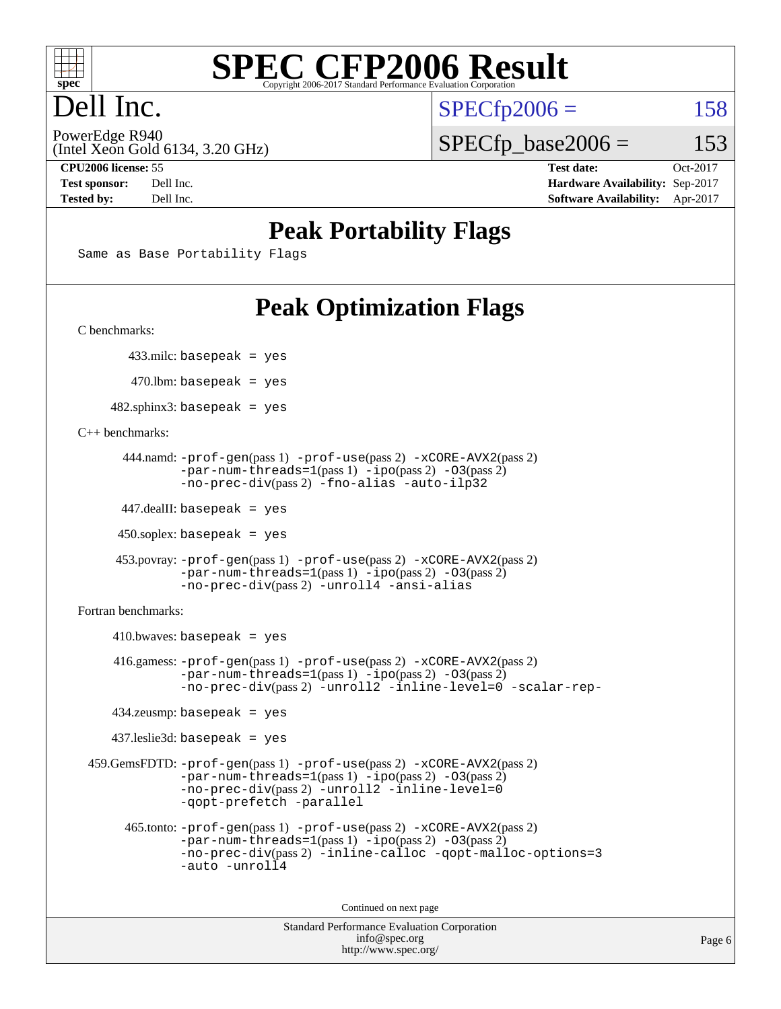

# Dell Inc.

 $SPECTp2006 = 158$ 

(Intel Xeon Gold 6134, 3.20 GHz) PowerEdge R940

 $SPECTp\_base2006 = 153$ 

**[CPU2006 license:](http://www.spec.org/auto/cpu2006/Docs/result-fields.html#CPU2006license)** 55 **[Test date:](http://www.spec.org/auto/cpu2006/Docs/result-fields.html#Testdate)** Oct-2017 **[Test sponsor:](http://www.spec.org/auto/cpu2006/Docs/result-fields.html#Testsponsor)** Dell Inc. **[Hardware Availability:](http://www.spec.org/auto/cpu2006/Docs/result-fields.html#HardwareAvailability)** Sep-2017 **[Tested by:](http://www.spec.org/auto/cpu2006/Docs/result-fields.html#Testedby)** Dell Inc. **[Software Availability:](http://www.spec.org/auto/cpu2006/Docs/result-fields.html#SoftwareAvailability)** Apr-2017

# **[Peak Portability Flags](http://www.spec.org/auto/cpu2006/Docs/result-fields.html#PeakPortabilityFlags)**

Same as Base Portability Flags

# **[Peak Optimization Flags](http://www.spec.org/auto/cpu2006/Docs/result-fields.html#PeakOptimizationFlags)**

[C benchmarks](http://www.spec.org/auto/cpu2006/Docs/result-fields.html#Cbenchmarks):

433.milc: basepeak = yes

 $470.$ lbm: basepeak = yes

 $482$ .sphinx3: basepeak = yes

[C++ benchmarks:](http://www.spec.org/auto/cpu2006/Docs/result-fields.html#CXXbenchmarks)

```
 444.namd: -prof-gen(pass 1) -prof-use(pass 2) -xCORE-AVX2(pass 2)
      -par-num-threads=1-ipo-O3(pass 2)-no-prec-div(pass 2) -fno-alias -auto-ilp32
```
447.dealII: basepeak = yes

 $450$ .soplex: basepeak = yes

```
 453.povray: -prof-gen(pass 1) -prof-use(pass 2) -xCORE-AVX2(pass 2)
        -par-num-threads=1-ipo-O3(pass 2)-no-prec-div(pass 2) -unroll4 -ansi-alias
```
[Fortran benchmarks](http://www.spec.org/auto/cpu2006/Docs/result-fields.html#Fortranbenchmarks):

```
410.bwaves: basepeak = yes 416.gamess: -prof-gen(pass 1) -prof-use(pass 2) -xCORE-AVX2(pass 2)
           -par-num-threads=1-ipo-O3(pass 2)-no-prec-div(pass 2) -unroll2 -inline-level=0 -scalar-rep-
   434.zeusmp: basepeak = yes
  437.leslie3d: basepeak = yes
459.GemsFDTD: -prof-gen(pass 1) -prof-use(pass 2) -xCORE-AVX2(pass 2)
           -par-num-threads=1-ipo-O3(pass 2)-no-prec-div(pass 2) -unroll2 -inline-level=0
           -qopt-prefetch -parallel
    465.tonto: -prof-gen(pass 1) -prof-use(pass 2) -xCORE-AVX2(pass 2)
           -par-num-threads=1-ipo-O3(pass 2)-no-prec-div-inline-calloc-qopt-malloc-options=3
           -auto -unroll4
```
Continued on next page

```
Standard Performance Evaluation Corporation
            info@spec.org
          http://www.spec.org/
```